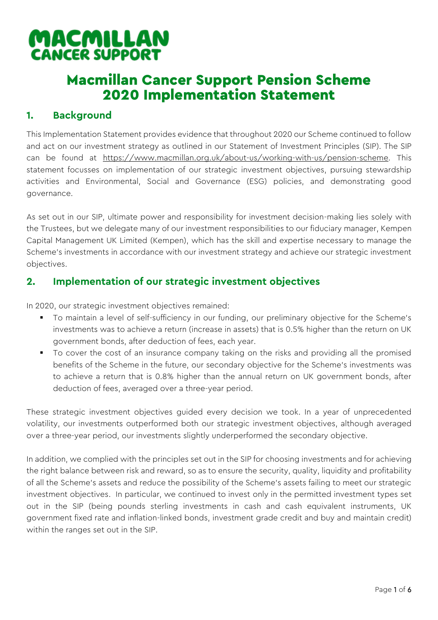# MACMILLAN **CANCER SUPPORT**

## Macmillan Cancer Support Pension Scheme 2020 Implementation Statement

## **1. Background**

This Implementation Statement provides evidence that throughout 2020 our Scheme continued to follow and act on our investment strategy as outlined in our Statement of Investment Principles (SIP). The SIP can be found at [https://www.macmillan.org.uk/about-us/working-with-us/pension-scheme.](https://www.macmillan.org.uk/about-us/working-with-us/pension-scheme) This statement focusses on implementation of our strategic investment objectives, pursuing stewardship activities and Environmental, Social and Governance (ESG) policies, and demonstrating good governance.

As set out in our SIP, ultimate power and responsibility for investment decision-making lies solely with the Trustees, but we delegate many of our investment responsibilities to our fiduciary manager, Kempen Capital Management UK Limited (Kempen), which has the skill and expertise necessary to manage the Scheme's investments in accordance with our investment strategy and achieve our strategic investment objectives.

### **2. Implementation of our strategic investment objectives**

In 2020, our strategic investment objectives remained:

- To maintain a level of self-sufficiency in our funding, our preliminary objective for the Scheme's investments was to achieve a return (increase in assets) that is 0.5% higher than the return on UK government bonds, after deduction of fees, each year.
- To cover the cost of an insurance company taking on the risks and providing all the promised benefits of the Scheme in the future, our secondary objective for the Scheme's investments was to achieve a return that is 0.8% higher than the annual return on UK government bonds, after deduction of fees, averaged over a three-year period.

These strategic investment objectives guided every decision we took. In a year of unprecedented volatility, our investments outperformed both our strategic investment objectives, although averaged over a three-year period, our investments slightly underperformed the secondary objective.

In addition, we complied with the principles set out in the SIP for choosing investments and for achieving the right balance between risk and reward, so as to ensure the security, quality, liquidity and profitability of all the Scheme's assets and reduce the possibility of the Scheme's assets failing to meet our strategic investment objectives. In particular, we continued to invest only in the permitted investment types set out in the SIP (being pounds sterling investments in cash and cash equivalent instruments, UK government fixed rate and inflation-linked bonds, investment grade credit and buy and maintain credit) within the ranges set out in the SIP.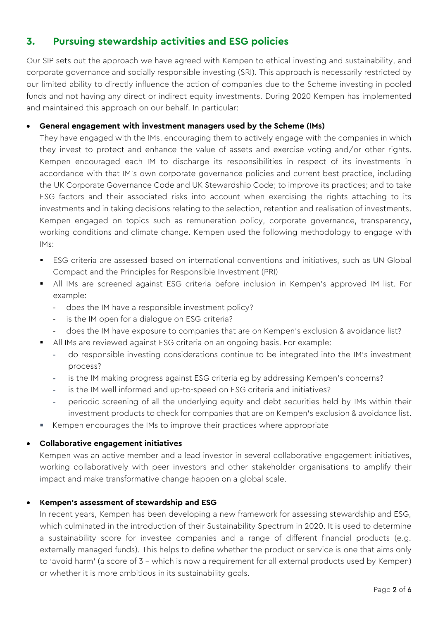## **3. Pursuing stewardship activities and ESG policies**

Our SIP sets out the approach we have agreed with Kempen to ethical investing and sustainability, and corporate governance and socially responsible investing (SRI). This approach is necessarily restricted by our limited ability to directly influence the action of companies due to the Scheme investing in pooled funds and not having any direct or indirect equity investments. During 2020 Kempen has implemented and maintained this approach on our behalf. In particular:

#### • **General engagement with investment managers used by the Scheme (IMs)**

They have engaged with the IMs, encouraging them to actively engage with the companies in which they invest to protect and enhance the value of assets and exercise voting and/or other rights. Kempen encouraged each IM to discharge its responsibilities in respect of its investments in accordance with that IM's own corporate governance policies and current best practice, including the UK Corporate Governance Code and UK Stewardship Code; to improve its practices; and to take ESG factors and their associated risks into account when exercising the rights attaching to its investments and in taking decisions relating to the selection, retention and realisation of investments. Kempen engaged on topics such as remuneration policy, corporate governance, transparency, working conditions and climate change. Kempen used the following methodology to engage with IMs:

- **•** ESG criteria are assessed based on international conventions and initiatives, such as UN Global Compact and the Principles for Responsible Investment (PRI)
- **E** All IMs are screened against ESG criteria before inclusion in Kempen's approved IM list. For example:
	- does the IM have a responsible investment policy?
	- is the IM open for a dialogue on ESG criteria?
	- does the IM have exposure to companies that are on Kempen's exclusion & avoidance list?
- All IMs are reviewed against ESG criteria on an ongoing basis. For example:
	- **-** do responsible investing considerations continue to be integrated into the IM's investment process?
	- **-** is the IM making progress against ESG criteria eg by addressing Kempen's concerns?
	- **-** is the IM well informed and up-to-speed on ESG criteria and initiatives?
	- **-** periodic screening of all the underlying equity and debt securities held by IMs within their investment products to check for companies that are on Kempen's exclusion & avoidance list.
- Kempen encourages the IMs to improve their practices where appropriate

#### • **Collaborative engagement initiatives**

Kempen was an active member and a lead investor in several collaborative engagement initiatives, working collaboratively with peer investors and other stakeholder organisations to amplify their impact and make transformative change happen on a global scale.

#### • **Kempen's assessment of stewardship and ESG**

In recent years, Kempen has been developing a new framework for assessing stewardship and ESG, which culminated in the introduction of their Sustainability Spectrum in 2020. It is used to determine a sustainability score for investee companies and a range of different financial products (e.g. externally managed funds). This helps to define whether the product or service is one that aims only to 'avoid harm' (a score of 3 – which is now a requirement for all external products used by Kempen) or whether it is more ambitious in its sustainability goals.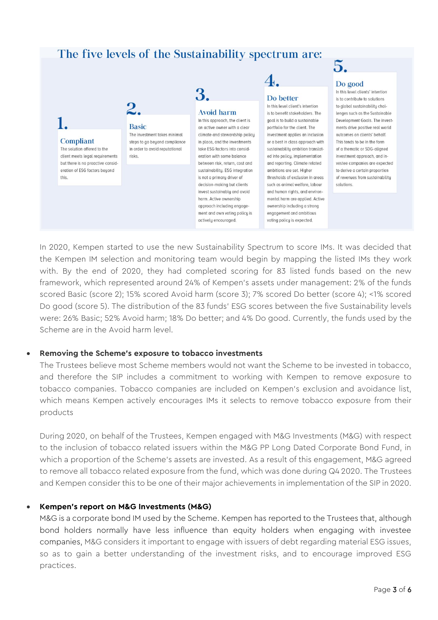## The five levels of the Sustainability spectrum are:



5.

In 2020, Kempen started to use the new Sustainability Spectrum to score IMs. It was decided that the Kempen IM selection and monitoring team would begin by mapping the listed IMs they work with. By the end of 2020, they had completed scoring for 83 listed funds based on the new framework, which represented around 24% of Kempen's assets under management: 2% of the funds scored Basic (score 2); 15% scored Avoid harm (score 3); 7% scored Do better (score 4); <1% scored Do good (score 5). The distribution of the 83 funds' ESG scores between the five Sustainability levels were: 26% Basic; 52% Avoid harm; 18% Do better; and 4% Do good. Currently, the funds used by the Scheme are in the Avoid harm level.

#### • **Removing the Scheme's exposure to tobacco investments**

The Trustees believe most Scheme members would not want the Scheme to be invested in tobacco, and therefore the SIP includes a commitment to working with Kempen to remove exposure to tobacco companies. Tobacco companies are included on Kempen's exclusion and avoidance list, which means Kempen actively encourages IMs it selects to remove tobacco exposure from their products

During 2020, on behalf of the Trustees, Kempen engaged with M&G Investments (M&G) with respect to the inclusion of tobacco related issuers within the M&G PP Long Dated Corporate Bond Fund, in which a proportion of the Scheme's assets are invested. As a result of this engagement, M&G agreed to remove all tobacco related exposure from the fund, which was done during Q4 2020. The Trustees and Kempen consider this to be one of their major achievements in implementation of the SIP in 2020.

#### • **Kempen's report on M&G Investments (M&G)**

M&G is a corporate bond IM used by the Scheme. Kempen has reported to the Trustees that, although bond holders normally have less influence than equity holders when engaging with investee companies, M&G considers it important to engage with issuers of debt regarding material ESG issues, so as to gain a better understanding of the investment risks, and to encourage improved ESG practices.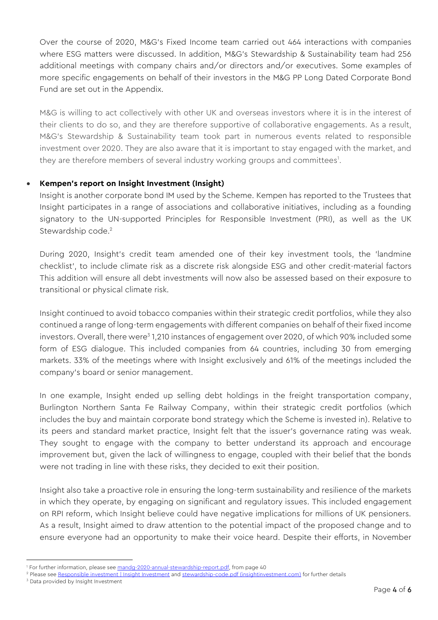Over the course of 2020, M&G's Fixed Income team carried out 464 interactions with companies where ESG matters were discussed. In addition, M&G's Stewardship & Sustainability team had 256 additional meetings with company chairs and/or directors and/or executives. Some examples of more specific engagements on behalf of their investors in the M&G PP Long Dated Corporate Bond Fund are set out in the Appendix.

M&G is willing to act collectively with other UK and overseas investors where it is in the interest of their clients to do so, and they are therefore supportive of collaborative engagements. As a result, M&G's Stewardship & Sustainability team took part in numerous events related to responsible investment over 2020. They are also aware that it is important to stay engaged with the market, and they are therefore members of several industry working groups and committees<sup>1</sup>.

#### • **Kempen's report on Insight Investment (Insight)**

Insight is another corporate bond IM used by the Scheme. Kempen has reported to the Trustees that Insight participates in a range of associations and collaborative initiatives, including as a founding signatory to the UN-supported Principles for Responsible Investment (PRI), as well as the UK Stewardship code.<sup>2</sup>

During 2020, Insight's credit team amended one of their key investment tools, the 'landmine checklist', to include climate risk as a discrete risk alongside ESG and other credit-material factors This addition will ensure all debt investments will now also be assessed based on their exposure to transitional or physical climate risk.

Insight continued to avoid tobacco companies within their strategic credit portfolios, while they also continued a range of long-term engagements with different companies on behalf of their fixed income investors. Overall, there were $^{\rm 3}$ 1,210 instances of engagement over 2020, of which 90% included some form of ESG dialogue. This included companies from 64 countries, including 30 from emerging markets. 33% of the meetings where with Insight exclusively and 61% of the meetings included the company's board or senior management.

In one example, Insight ended up selling debt holdings in the freight transportation company, Burlington Northern Santa Fe Railway Company, within their strategic credit portfolios (which includes the buy and maintain corporate bond strategy which the Scheme is invested in). Relative to its peers and standard market practice, Insight felt that the issuer's governance rating was weak. They sought to engage with the company to better understand its approach and encourage improvement but, given the lack of willingness to engage, coupled with their belief that the bonds were not trading in line with these risks, they decided to exit their position.

Insight also take a proactive role in ensuring the long-term sustainability and resilience of the markets in which they operate, by engaging on significant and regulatory issues. This included engagement on RPI reform, which Insight believe could have negative implications for millions of UK pensioners. As a result, Insight aimed to draw attention to the potential impact of the proposed change and to ensure everyone had an opportunity to make their voice heard. Despite their efforts, in November

<sup>3</sup> Data provided by Insight Investment

<sup>&</sup>lt;sup>1</sup> For further information, please se[e mandg-2020-annual-stewardship-report.pdf,](https://www.mandg.com/dam/investments/professional-investor/gb/en/documents/funds-literature/brochures/mandg-2020-annual-stewardship-report.pdf) from page 40

<sup>&</sup>lt;sup>2</sup> Please se[e Responsible investment | Insight Investment](https://www.insightinvestment.com/investing-responsibly/) an[d stewardship-code.pdf \(insightinvestment.com\)](https://www.insightinvestment.com/globalassets/documents/responsible-investment/stewardship-code/stewardship-code.pdf) for further details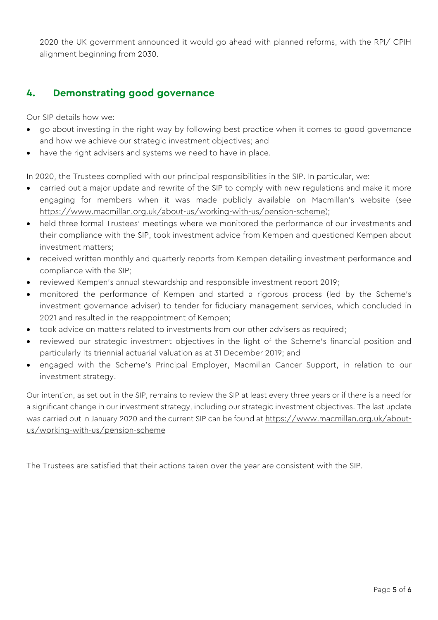2020 the UK government announced it would go ahead with planned reforms, with the RPI/ CPIH alignment beginning from 2030.

## **4. Demonstrating good governance**

Our SIP details how we:

- go about investing in the right way by following best practice when it comes to good governance and how we achieve our strategic investment objectives; and
- have the right advisers and systems we need to have in place.

In 2020, the Trustees complied with our principal responsibilities in the SIP. In particular, we:

- carried out a major update and rewrite of the SIP to comply with new regulations and make it more engaging for members when it was made publicly available on Macmillan's website (see [https://www.macmillan.org.uk/about-us/working-with-us/pension-scheme\)](https://www.macmillan.org.uk/about-us/working-with-us/pension-scheme);
- held three formal Trustees' meetings where we monitored the performance of our investments and their compliance with the SIP, took investment advice from Kempen and questioned Kempen about investment matters;
- received written monthly and quarterly reports from Kempen detailing investment performance and compliance with the SIP;
- reviewed Kempen's annual stewardship and responsible investment report 2019;
- monitored the performance of Kempen and started a rigorous process (led by the Scheme's investment governance adviser) to tender for fiduciary management services, which concluded in 2021 and resulted in the reappointment of Kempen;
- took advice on matters related to investments from our other advisers as required;
- reviewed our strategic investment objectives in the light of the Scheme's financial position and particularly its triennial actuarial valuation as at 31 December 2019; and
- engaged with the Scheme's Principal Employer, Macmillan Cancer Support, in relation to our investment strategy.

Our intention, as set out in the SIP, remains to review the SIP at least every three years or if there is a need for a significant change in our investment strategy, including our strategic investment objectives. The last update was carried out in January 2020 and the current SIP can be found at [https://www.macmillan.org.uk/about](https://www.macmillan.org.uk/about-us/working-with-us/pension-scheme)[us/working-with-us/pension-scheme](https://www.macmillan.org.uk/about-us/working-with-us/pension-scheme)

The Trustees are satisfied that their actions taken over the year are consistent with the SIP.